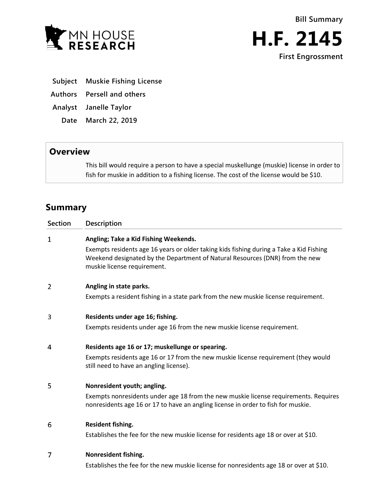



- **Subject Muskie Fishing License**
- **Authors Persell and others**
- **Analyst Janelle Taylor**
	- **Date March 22, 2019**

## **Overview**

This bill would require a person to have a special muskellunge (muskie) license in order to fish for muskie in addition to a fishing license. The cost of the license would be \$10.

## **Summary**

| Section        | <b>Description</b>                                                                                                                                                                                     |
|----------------|--------------------------------------------------------------------------------------------------------------------------------------------------------------------------------------------------------|
| 1              | Angling; Take a Kid Fishing Weekends.                                                                                                                                                                  |
|                | Exempts residents age 16 years or older taking kids fishing during a Take a Kid Fishing<br>Weekend designated by the Department of Natural Resources (DNR) from the new<br>muskie license requirement. |
| $\overline{2}$ | Angling in state parks.                                                                                                                                                                                |
|                | Exempts a resident fishing in a state park from the new muskie license requirement.                                                                                                                    |
| 3              | Residents under age 16; fishing.                                                                                                                                                                       |
|                | Exempts residents under age 16 from the new muskie license requirement.                                                                                                                                |
| 4              | Residents age 16 or 17; muskellunge or spearing.                                                                                                                                                       |
|                | Exempts residents age 16 or 17 from the new muskie license requirement (they would<br>still need to have an angling license).                                                                          |
| 5              | Nonresident youth; angling.                                                                                                                                                                            |
|                | Exempts nonresidents under age 18 from the new muskie license requirements. Requires<br>nonresidents age 16 or 17 to have an angling license in order to fish for muskie.                              |
| 6              | Resident fishing.                                                                                                                                                                                      |
|                | Establishes the fee for the new muskie license for residents age 18 or over at \$10.                                                                                                                   |
| 7              | Nonresident fishing.                                                                                                                                                                                   |
|                | Establishes the fee for the new muskie license for nonresidents age 18 or over at \$10.                                                                                                                |